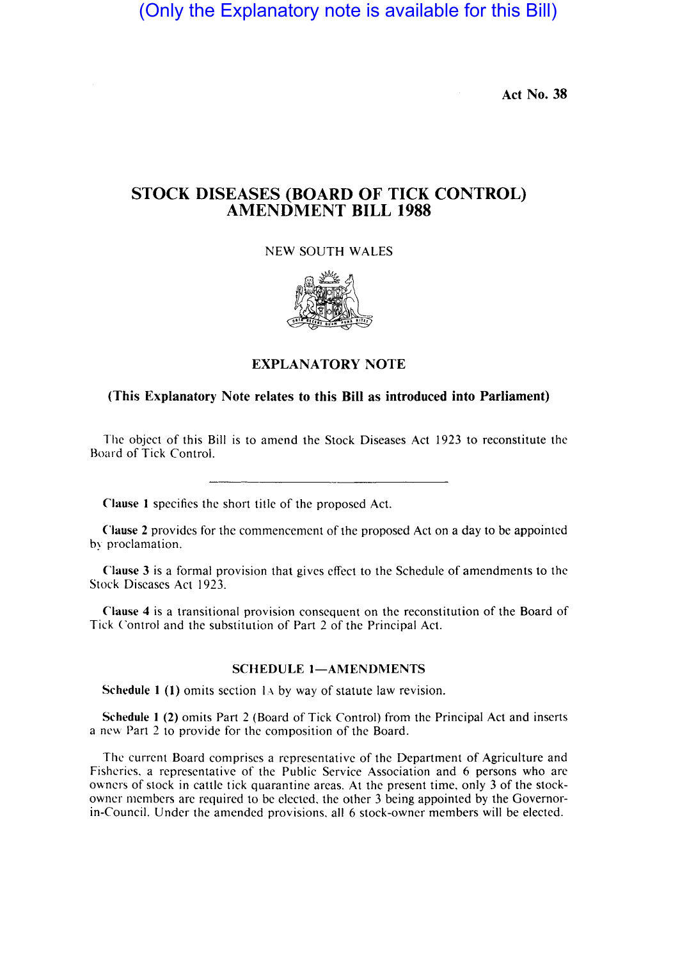(Only the Explanatory note is available for this Bill)

Act No. 38

## STOCK DISEASES (BOARD OF TICK CONTROL) AMENDMENT **BILL** 1988

NEW SOUTH WALES



## EXPLANATORY NOTE

## (This Explanatory Note relates to this Bill as introduced into Parliament)

The object of this Bill is to amend the Stock Diseases Act 1923 to reconstitute the Board of Tick Control.

Clause I specifics the short title of the proposed Act.

Clause 2 provides for the commencement of the proposed Act on a day to be appointed by proclamation.

Clause 3 is a formal provision that gives effect to the Schedule of amendments to the Stock Diseases Act 1923.

Clause 4 is a transitional provision consequent on the reconstitution of the Board of Tick Control and the substitution of Part 2 of the Principal Act.

## SCHEDULE 1-AMENDMENTS

Schedule 1  $(1)$  omits section 1.4 by way of statute law revision.

Schedule 1 (2) omits Part 2 (Board of Tick Control) from the Principal Act and inserts a new Part 2 to provide for the composition of the Board.

The current Board comprises a representative of the Department of Agriculture and Fisheries. a representative of the Public Service Association and 6 persons who arc owners of stock in cattle tick quarantine areas. At the present time. only 3 of the stockowner members are required to be elected, the other 3 being appointed by the Governorin-Council. Under the amended provisions. all 6 stock-owner members will be elected.